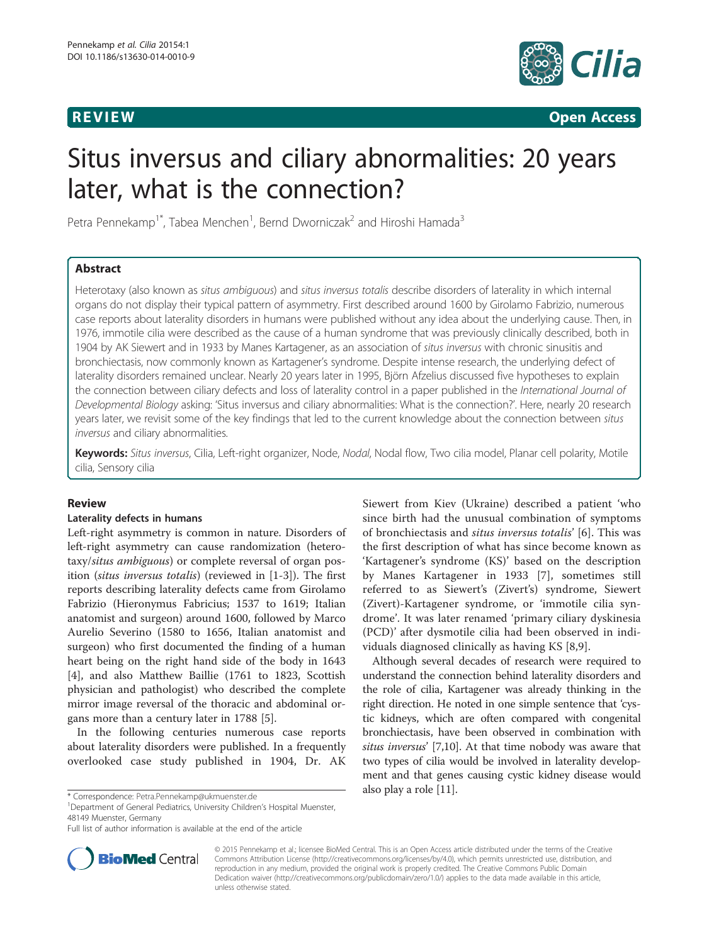

**REVIEW REVIEW CONSTRUCTER CONSTRUCTION** 

# Situs inversus and ciliary abnormalities: 20 years later, what is the connection?

Petra Pennekamp<sup>1\*</sup>, Tabea Menchen<sup>1</sup>, Bernd Dworniczak<sup>2</sup> and Hiroshi Hamada<sup>3</sup>

# Abstract

Heterotaxy (also known as situs ambiguous) and situs inversus totalis describe disorders of laterality in which internal organs do not display their typical pattern of asymmetry. First described around 1600 by Girolamo Fabrizio, numerous case reports about laterality disorders in humans were published without any idea about the underlying cause. Then, in 1976, immotile cilia were described as the cause of a human syndrome that was previously clinically described, both in 1904 by AK Siewert and in 1933 by Manes Kartagener, as an association of situs inversus with chronic sinusitis and bronchiectasis, now commonly known as Kartagener's syndrome. Despite intense research, the underlying defect of laterality disorders remained unclear. Nearly 20 years later in 1995, Björn Afzelius discussed five hypotheses to explain the connection between ciliary defects and loss of laterality control in a paper published in the International Journal of Developmental Biology asking: 'Situs inversus and ciliary abnormalities: What is the connection?'. Here, nearly 20 research years later, we revisit some of the key findings that led to the current knowledge about the connection between situs inversus and ciliary abnormalities.

Keywords: Situs inversus, Cilia, Left-right organizer, Node, Nodal, Nodal flow, Two cilia model, Planar cell polarity, Motile cilia, Sensory cilia

# Review

# Laterality defects in humans

Left-right asymmetry is common in nature. Disorders of left-right asymmetry can cause randomization (heterotaxy/situs ambiguous) or complete reversal of organ position (situs inversus totalis) (reviewed in [\[1](#page-9-0)-[3\]](#page-9-0)). The first reports describing laterality defects came from Girolamo Fabrizio (Hieronymus Fabricius; 1537 to 1619; Italian anatomist and surgeon) around 1600, followed by Marco Aurelio Severino (1580 to 1656, Italian anatomist and surgeon) who first documented the finding of a human heart being on the right hand side of the body in 1643 [[4\]](#page-9-0), and also Matthew Baillie (1761 to 1823, Scottish physician and pathologist) who described the complete mirror image reversal of the thoracic and abdominal organs more than a century later in 1788 [\[5](#page-9-0)].

In the following centuries numerous case reports about laterality disorders were published. In a frequently overlooked case study published in 1904, Dr. AK

<sup>1</sup>Department of General Pediatrics, University Children's Hospital Muenster, 48149 Muenster, Germany



Although several decades of research were required to understand the connection behind laterality disorders and the role of cilia, Kartagener was already thinking in the right direction. He noted in one simple sentence that 'cystic kidneys, which are often compared with congenital bronchiectasis, have been observed in combination with situs inversus' [\[7,10\]](#page-9-0). At that time nobody was aware that two types of cilia would be involved in laterality development and that genes causing cystic kidney disease would



© 2015 Pennekamp et al.; licensee BioMed Central. This is an Open Access article distributed under the terms of the Creative Commons Attribution License [\(http://creativecommons.org/licenses/by/4.0\)](http://creativecommons.org/licenses/by/4.0), which permits unrestricted use, distribution, and reproduction in any medium, provided the original work is properly credited. The Creative Commons Public Domain Dedication waiver [\(http://creativecommons.org/publicdomain/zero/1.0/](http://creativecommons.org/publicdomain/zero/1.0/)) applies to the data made available in this article, unless otherwise stated.

also play a role [[11](#page-9-0)]. \* Correspondence: [Petra.Pennekamp@ukmuenster.de](mailto:Petra.Pennekamp@ukmuenster.de) <sup>1</sup>

Full list of author information is available at the end of the article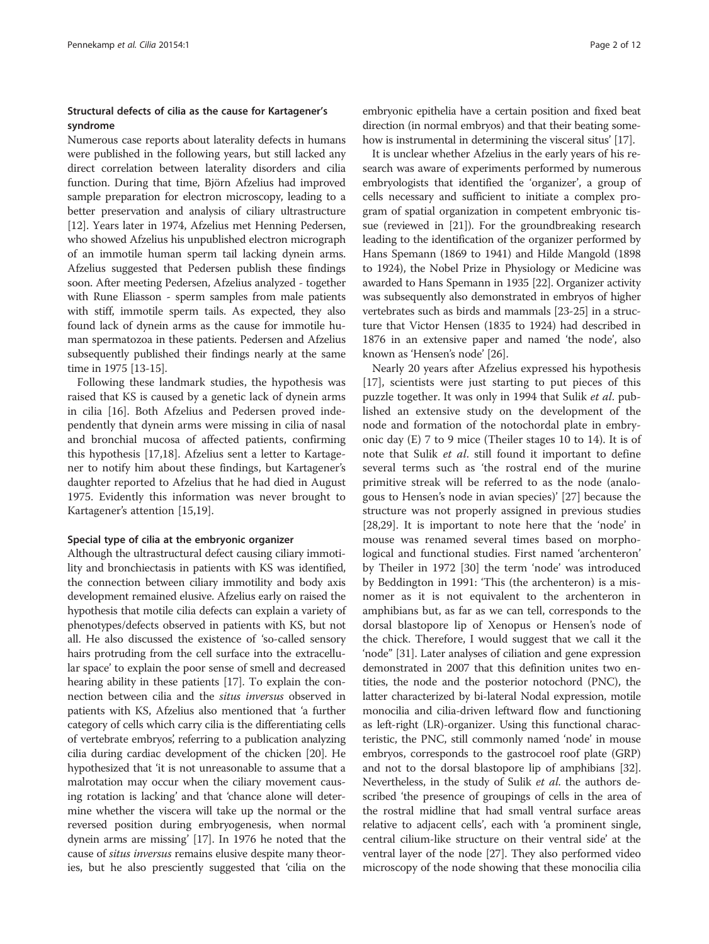# Structural defects of cilia as the cause for Kartagener's syndrome

Numerous case reports about laterality defects in humans were published in the following years, but still lacked any direct correlation between laterality disorders and cilia function. During that time, Björn Afzelius had improved sample preparation for electron microscopy, leading to a better preservation and analysis of ciliary ultrastructure [[12](#page-9-0)]. Years later in 1974, Afzelius met Henning Pedersen, who showed Afzelius his unpublished electron micrograph of an immotile human sperm tail lacking dynein arms. Afzelius suggested that Pedersen publish these findings soon. After meeting Pedersen, Afzelius analyzed - together with Rune Eliasson - sperm samples from male patients with stiff, immotile sperm tails. As expected, they also found lack of dynein arms as the cause for immotile human spermatozoa in these patients. Pedersen and Afzelius subsequently published their findings nearly at the same time in 1975 [[13](#page-9-0)-[15](#page-9-0)].

Following these landmark studies, the hypothesis was raised that KS is caused by a genetic lack of dynein arms in cilia [[16\]](#page-9-0). Both Afzelius and Pedersen proved independently that dynein arms were missing in cilia of nasal and bronchial mucosa of affected patients, confirming this hypothesis [[17](#page-9-0),[18](#page-9-0)]. Afzelius sent a letter to Kartagener to notify him about these findings, but Kartagener's daughter reported to Afzelius that he had died in August 1975. Evidently this information was never brought to Kartagener's attention [[15](#page-9-0),[19](#page-9-0)].

# Special type of cilia at the embryonic organizer

Although the ultrastructural defect causing ciliary immotility and bronchiectasis in patients with KS was identified, the connection between ciliary immotility and body axis development remained elusive. Afzelius early on raised the hypothesis that motile cilia defects can explain a variety of phenotypes/defects observed in patients with KS, but not all. He also discussed the existence of 'so-called sensory hairs protruding from the cell surface into the extracellular space' to explain the poor sense of smell and decreased hearing ability in these patients [[17](#page-9-0)]. To explain the connection between cilia and the situs inversus observed in patients with KS, Afzelius also mentioned that 'a further category of cells which carry cilia is the differentiating cells of vertebrate embryos', referring to a publication analyzing cilia during cardiac development of the chicken [\[20\]](#page-9-0). He hypothesized that 'it is not unreasonable to assume that a malrotation may occur when the ciliary movement causing rotation is lacking' and that 'chance alone will determine whether the viscera will take up the normal or the reversed position during embryogenesis, when normal dynein arms are missing' [\[17](#page-9-0)]. In 1976 he noted that the cause of *situs inversus* remains elusive despite many theories, but he also presciently suggested that 'cilia on the

embryonic epithelia have a certain position and fixed beat direction (in normal embryos) and that their beating somehow is instrumental in determining the visceral situs' [\[17\]](#page-9-0).

It is unclear whether Afzelius in the early years of his research was aware of experiments performed by numerous embryologists that identified the 'organizer', a group of cells necessary and sufficient to initiate a complex program of spatial organization in competent embryonic tissue (reviewed in [\[21\]](#page-9-0)). For the groundbreaking research leading to the identification of the organizer performed by Hans Spemann (1869 to 1941) and Hilde Mangold (1898 to 1924), the Nobel Prize in Physiology or Medicine was awarded to Hans Spemann in 1935 [\[22\]](#page-9-0). Organizer activity was subsequently also demonstrated in embryos of higher vertebrates such as birds and mammals [[23](#page-9-0)-[25](#page-9-0)] in a structure that Victor Hensen (1835 to 1924) had described in 1876 in an extensive paper and named 'the node', also known as 'Hensen's node' [\[26](#page-9-0)].

Nearly 20 years after Afzelius expressed his hypothesis [[17\]](#page-9-0), scientists were just starting to put pieces of this puzzle together. It was only in 1994 that Sulik et al. published an extensive study on the development of the node and formation of the notochordal plate in embryonic day (E) 7 to 9 mice (Theiler stages 10 to 14). It is of note that Sulik et al. still found it important to define several terms such as 'the rostral end of the murine primitive streak will be referred to as the node (analogous to Hensen's node in avian species)' [[27\]](#page-9-0) because the structure was not properly assigned in previous studies [[28,29\]](#page-9-0). It is important to note here that the 'node' in mouse was renamed several times based on morphological and functional studies. First named 'archenteron' by Theiler in 1972 [\[30\]](#page-9-0) the term 'node' was introduced by Beddington in 1991: 'This (the archenteron) is a misnomer as it is not equivalent to the archenteron in amphibians but, as far as we can tell, corresponds to the dorsal blastopore lip of Xenopus or Hensen's node of the chick. Therefore, I would suggest that we call it the 'node" [[31](#page-9-0)]. Later analyses of ciliation and gene expression demonstrated in 2007 that this definition unites two entities, the node and the posterior notochord (PNC), the latter characterized by bi-lateral Nodal expression, motile monocilia and cilia-driven leftward flow and functioning as left-right (LR)-organizer. Using this functional characteristic, the PNC, still commonly named 'node' in mouse embryos, corresponds to the gastrocoel roof plate (GRP) and not to the dorsal blastopore lip of amphibians [[32](#page-9-0)]. Nevertheless, in the study of Sulik et al. the authors described 'the presence of groupings of cells in the area of the rostral midline that had small ventral surface areas relative to adjacent cells', each with 'a prominent single, central cilium-like structure on their ventral side' at the ventral layer of the node [\[27](#page-9-0)]. They also performed video microscopy of the node showing that these monocilia cilia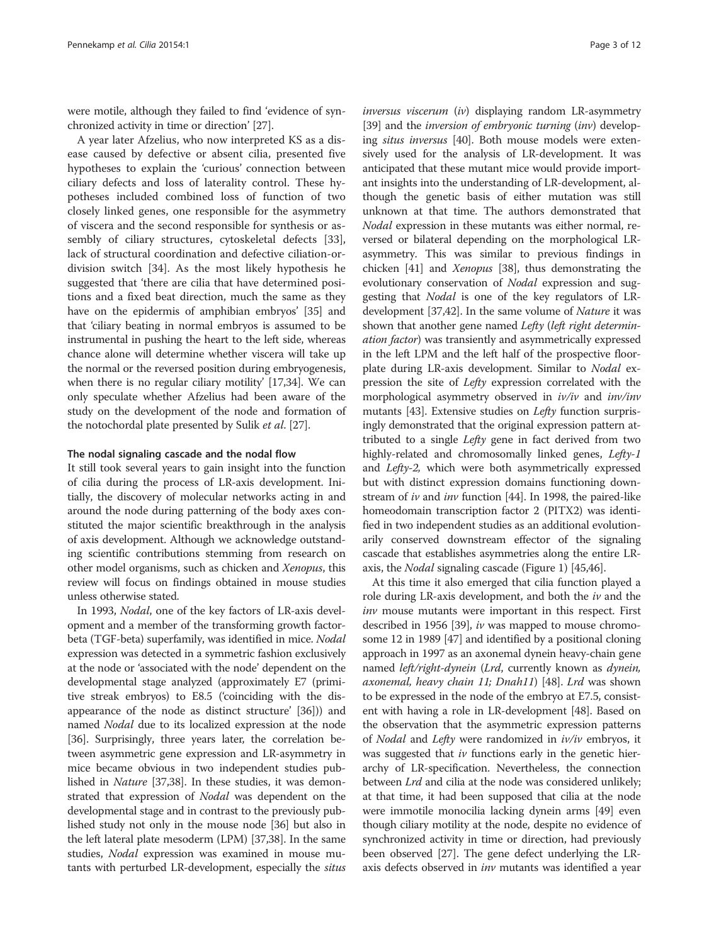were motile, although they failed to find 'evidence of synchronized activity in time or direction' [\[27\]](#page-9-0).

A year later Afzelius, who now interpreted KS as a disease caused by defective or absent cilia, presented five hypotheses to explain the 'curious' connection between ciliary defects and loss of laterality control. These hypotheses included combined loss of function of two closely linked genes, one responsible for the asymmetry of viscera and the second responsible for synthesis or assembly of ciliary structures, cytoskeletal defects [\[33](#page-9-0)], lack of structural coordination and defective ciliation-ordivision switch [[34](#page-9-0)]. As the most likely hypothesis he suggested that 'there are cilia that have determined positions and a fixed beat direction, much the same as they have on the epidermis of amphibian embryos' [\[35\]](#page-9-0) and that 'ciliary beating in normal embryos is assumed to be instrumental in pushing the heart to the left side, whereas chance alone will determine whether viscera will take up the normal or the reversed position during embryogenesis, when there is no regular ciliary motility' [[17,34\]](#page-9-0). We can only speculate whether Afzelius had been aware of the study on the development of the node and formation of the notochordal plate presented by Sulik et al. [\[27\]](#page-9-0).

#### The nodal signaling cascade and the nodal flow

It still took several years to gain insight into the function of cilia during the process of LR-axis development. Initially, the discovery of molecular networks acting in and around the node during patterning of the body axes constituted the major scientific breakthrough in the analysis of axis development. Although we acknowledge outstanding scientific contributions stemming from research on other model organisms, such as chicken and Xenopus, this review will focus on findings obtained in mouse studies unless otherwise stated.

In 1993, Nodal, one of the key factors of LR-axis development and a member of the transforming growth factorbeta (TGF-beta) superfamily, was identified in mice. Nodal expression was detected in a symmetric fashion exclusively at the node or 'associated with the node' dependent on the developmental stage analyzed (approximately E7 (primitive streak embryos) to E8.5 ('coinciding with the disappearance of the node as distinct structure' [\[36\]](#page-9-0))) and named Nodal due to its localized expression at the node [[36](#page-9-0)]. Surprisingly, three years later, the correlation between asymmetric gene expression and LR-asymmetry in mice became obvious in two independent studies published in Nature [\[37,38\]](#page-9-0). In these studies, it was demonstrated that expression of Nodal was dependent on the developmental stage and in contrast to the previously published study not only in the mouse node [\[36\]](#page-9-0) but also in the left lateral plate mesoderm (LPM) [\[37,38](#page-9-0)]. In the same studies, Nodal expression was examined in mouse mutants with perturbed LR-development, especially the situs

inversus viscerum (iv) displaying random LR-asymmetry [[39](#page-9-0)] and the *inversion of embryonic turning (inv)* developing situs inversus [\[40\]](#page-9-0). Both mouse models were extensively used for the analysis of LR-development. It was anticipated that these mutant mice would provide important insights into the understanding of LR-development, although the genetic basis of either mutation was still unknown at that time. The authors demonstrated that Nodal expression in these mutants was either normal, reversed or bilateral depending on the morphological LRasymmetry. This was similar to previous findings in chicken [\[41\]](#page-9-0) and Xenopus [[38](#page-9-0)], thus demonstrating the evolutionary conservation of *Nodal* expression and suggesting that Nodal is one of the key regulators of LRdevelopment [\[37,42](#page-9-0)]. In the same volume of Nature it was shown that another gene named Lefty (left right determination factor) was transiently and asymmetrically expressed in the left LPM and the left half of the prospective floorplate during LR-axis development. Similar to *Nodal* expression the site of Lefty expression correlated with the morphological asymmetry observed in iv/iv and inv/inv mutants [\[43\]](#page-9-0). Extensive studies on *Lefty* function surprisingly demonstrated that the original expression pattern attributed to a single Lefty gene in fact derived from two highly-related and chromosomally linked genes, Lefty-1 and Lefty-2, which were both asymmetrically expressed but with distinct expression domains functioning down-stream of iv and inv function [\[44](#page-9-0)]. In 1998, the paired-like homeodomain transcription factor 2 (PITX2) was identified in two independent studies as an additional evolutionarily conserved downstream effector of the signaling cascade that establishes asymmetries along the entire LRaxis, the Nodal signaling cascade (Figure [1](#page-3-0)) [[45,46](#page-9-0)].

At this time it also emerged that cilia function played a role during LR-axis development, and both the iv and the inv mouse mutants were important in this respect. First described in 1956 [\[39\]](#page-9-0), iv was mapped to mouse chromosome 12 in 1989 [\[47\]](#page-9-0) and identified by a positional cloning approach in 1997 as an axonemal dynein heavy-chain gene named *left/right-dynein* (*Lrd*, currently known as *dynein*, axonemal, heavy chain 11; Dnah11) [\[48\]](#page-9-0). Lrd was shown to be expressed in the node of the embryo at E7.5, consistent with having a role in LR-development [\[48](#page-9-0)]. Based on the observation that the asymmetric expression patterns of Nodal and Lefty were randomized in iv/iv embryos, it was suggested that  $iv$  functions early in the genetic hierarchy of LR-specification. Nevertheless, the connection between Lrd and cilia at the node was considered unlikely; at that time, it had been supposed that cilia at the node were immotile monocilia lacking dynein arms [\[49\]](#page-10-0) even though ciliary motility at the node, despite no evidence of synchronized activity in time or direction, had previously been observed [[27](#page-9-0)]. The gene defect underlying the LRaxis defects observed in *inv* mutants was identified a year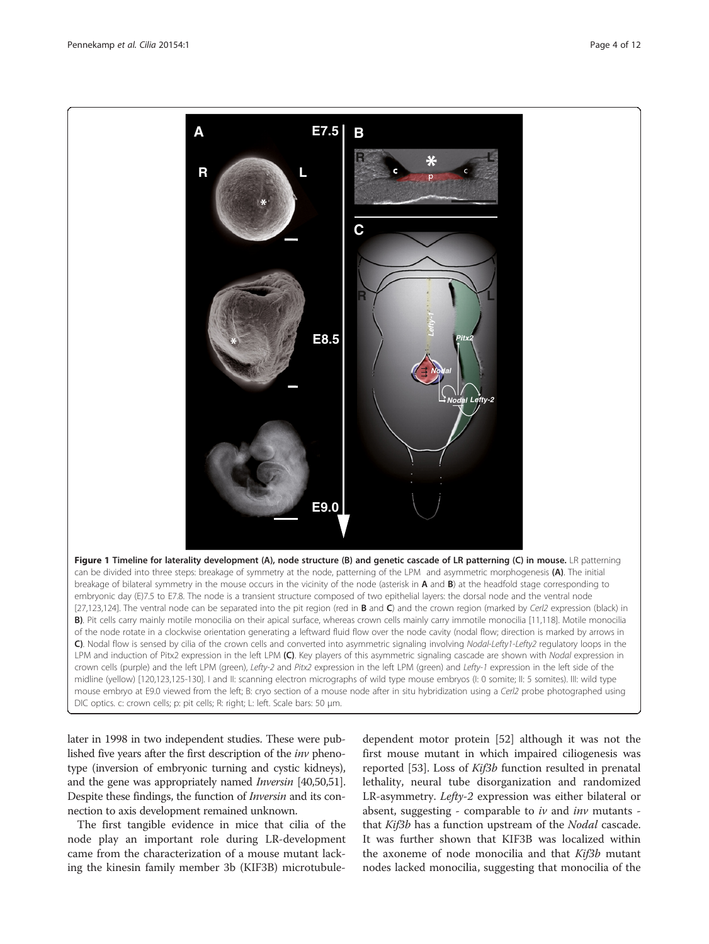<span id="page-3-0"></span>

later in 1998 in two independent studies. These were published five years after the first description of the inv phenotype (inversion of embryonic turning and cystic kidneys), and the gene was appropriately named *Inversin* [[40](#page-9-0)[,50,51](#page-10-0)]. Despite these findings, the function of Inversin and its connection to axis development remained unknown.

The first tangible evidence in mice that cilia of the node play an important role during LR-development came from the characterization of a mouse mutant lacking the kinesin family member 3b (KIF3B) microtubule-

dependent motor protein [\[52](#page-10-0)] although it was not the first mouse mutant in which impaired ciliogenesis was reported [[53\]](#page-10-0). Loss of Kif3b function resulted in prenatal lethality, neural tube disorganization and randomized LR-asymmetry. Lefty-2 expression was either bilateral or absent, suggesting - comparable to  $iv$  and  $inv$  mutants that Kif3b has a function upstream of the Nodal cascade. It was further shown that KIF3B was localized within the axoneme of node monocilia and that  $Kif3b$  mutant nodes lacked monocilia, suggesting that monocilia of the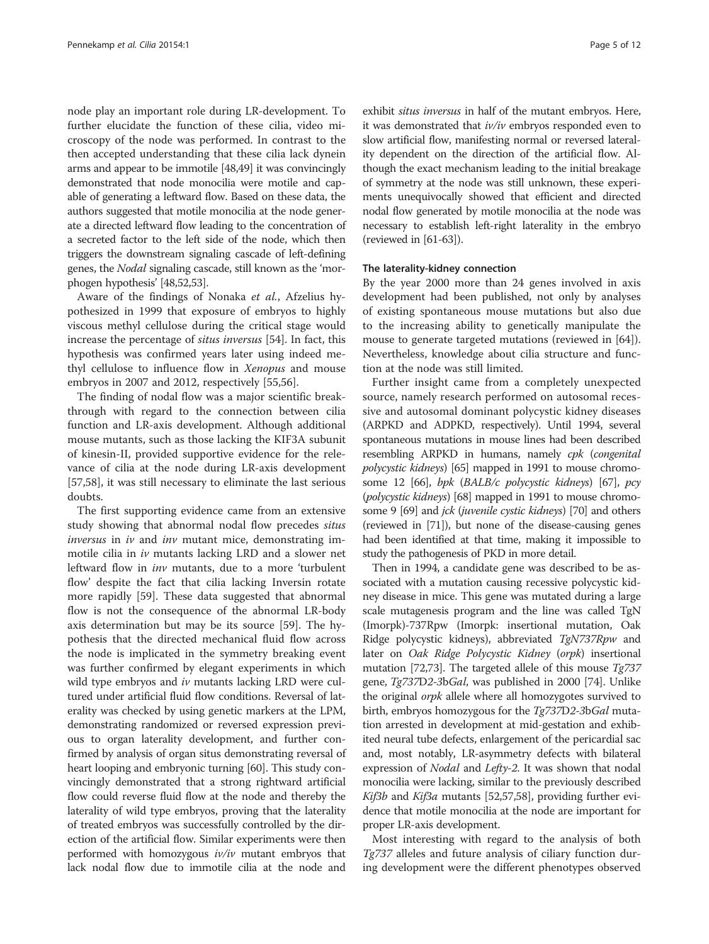node play an important role during LR-development. To further elucidate the function of these cilia, video microscopy of the node was performed. In contrast to the then accepted understanding that these cilia lack dynein arms and appear to be immotile [[48](#page-9-0)[,49\]](#page-10-0) it was convincingly demonstrated that node monocilia were motile and capable of generating a leftward flow. Based on these data, the authors suggested that motile monocilia at the node generate a directed leftward flow leading to the concentration of a secreted factor to the left side of the node, which then triggers the downstream signaling cascade of left-defining genes, the Nodal signaling cascade, still known as the 'morphogen hypothesis' [[48](#page-9-0)[,52,53](#page-10-0)].

Aware of the findings of Nonaka et al., Afzelius hypothesized in 1999 that exposure of embryos to highly viscous methyl cellulose during the critical stage would increase the percentage of situs inversus [\[54](#page-10-0)]. In fact, this hypothesis was confirmed years later using indeed methyl cellulose to influence flow in Xenopus and mouse embryos in 2007 and 2012, respectively [\[55,56\]](#page-10-0).

The finding of nodal flow was a major scientific breakthrough with regard to the connection between cilia function and LR-axis development. Although additional mouse mutants, such as those lacking the KIF3A subunit of kinesin-II, provided supportive evidence for the relevance of cilia at the node during LR-axis development [[57,58\]](#page-10-0), it was still necessary to eliminate the last serious doubts.

The first supporting evidence came from an extensive study showing that abnormal nodal flow precedes situs inversus in iv and inv mutant mice, demonstrating immotile cilia in iv mutants lacking LRD and a slower net leftward flow in inv mutants, due to a more 'turbulent flow' despite the fact that cilia lacking Inversin rotate more rapidly [[59\]](#page-10-0). These data suggested that abnormal flow is not the consequence of the abnormal LR-body axis determination but may be its source [[59\]](#page-10-0). The hypothesis that the directed mechanical fluid flow across the node is implicated in the symmetry breaking event was further confirmed by elegant experiments in which wild type embryos and iv mutants lacking LRD were cultured under artificial fluid flow conditions. Reversal of laterality was checked by using genetic markers at the LPM, demonstrating randomized or reversed expression previous to organ laterality development, and further confirmed by analysis of organ situs demonstrating reversal of heart looping and embryonic turning [\[60](#page-10-0)]. This study convincingly demonstrated that a strong rightward artificial flow could reverse fluid flow at the node and thereby the laterality of wild type embryos, proving that the laterality of treated embryos was successfully controlled by the direction of the artificial flow. Similar experiments were then performed with homozygous  $iv/iv$  mutant embryos that lack nodal flow due to immotile cilia at the node and

exhibit situs inversus in half of the mutant embryos. Here, it was demonstrated that iv/iv embryos responded even to slow artificial flow, manifesting normal or reversed laterality dependent on the direction of the artificial flow. Although the exact mechanism leading to the initial breakage of symmetry at the node was still unknown, these experiments unequivocally showed that efficient and directed nodal flow generated by motile monocilia at the node was necessary to establish left-right laterality in the embryo (reviewed in [[61](#page-10-0)-[63](#page-10-0)]).

#### The laterality-kidney connection

By the year 2000 more than 24 genes involved in axis development had been published, not only by analyses of existing spontaneous mouse mutations but also due to the increasing ability to genetically manipulate the mouse to generate targeted mutations (reviewed in [\[64](#page-10-0)]). Nevertheless, knowledge about cilia structure and function at the node was still limited.

Further insight came from a completely unexpected source, namely research performed on autosomal recessive and autosomal dominant polycystic kidney diseases (ARPKD and ADPKD, respectively). Until 1994, several spontaneous mutations in mouse lines had been described resembling ARPKD in humans, namely cpk (congenital polycystic kidneys) [\[65](#page-10-0)] mapped in 1991 to mouse chromosome 12 [\[66](#page-10-0)], bpk (BALB/c polycystic kidneys) [\[67\]](#page-10-0), pcy (polycystic kidneys) [\[68\]](#page-10-0) mapped in 1991 to mouse chromo-some 9 [\[69](#page-10-0)] and jck (juvenile cystic kidneys) [\[70\]](#page-10-0) and others (reviewed in [\[71\]](#page-10-0)), but none of the disease-causing genes had been identified at that time, making it impossible to study the pathogenesis of PKD in more detail.

Then in 1994, a candidate gene was described to be associated with a mutation causing recessive polycystic kidney disease in mice. This gene was mutated during a large scale mutagenesis program and the line was called TgN (Imorpk)-737Rpw (Imorpk: insertional mutation, Oak Ridge polycystic kidneys), abbreviated TgN737Rpw and later on Oak Ridge Polycystic Kidney (orpk) insertional mutation [[72,73\]](#page-10-0). The targeted allele of this mouse  $Tg737$ gene, Tg737D2-3bGal, was published in 2000 [\[74\]](#page-10-0). Unlike the original *orpk* allele where all homozygotes survived to birth, embryos homozygous for the Tg737D2-3bGal mutation arrested in development at mid-gestation and exhibited neural tube defects, enlargement of the pericardial sac and, most notably, LR-asymmetry defects with bilateral expression of Nodal and Lefty-2. It was shown that nodal monocilia were lacking, similar to the previously described Kif3b and Kif3a mutants [\[52,57,58](#page-10-0)], providing further evidence that motile monocilia at the node are important for proper LR-axis development.

Most interesting with regard to the analysis of both Tg737 alleles and future analysis of ciliary function during development were the different phenotypes observed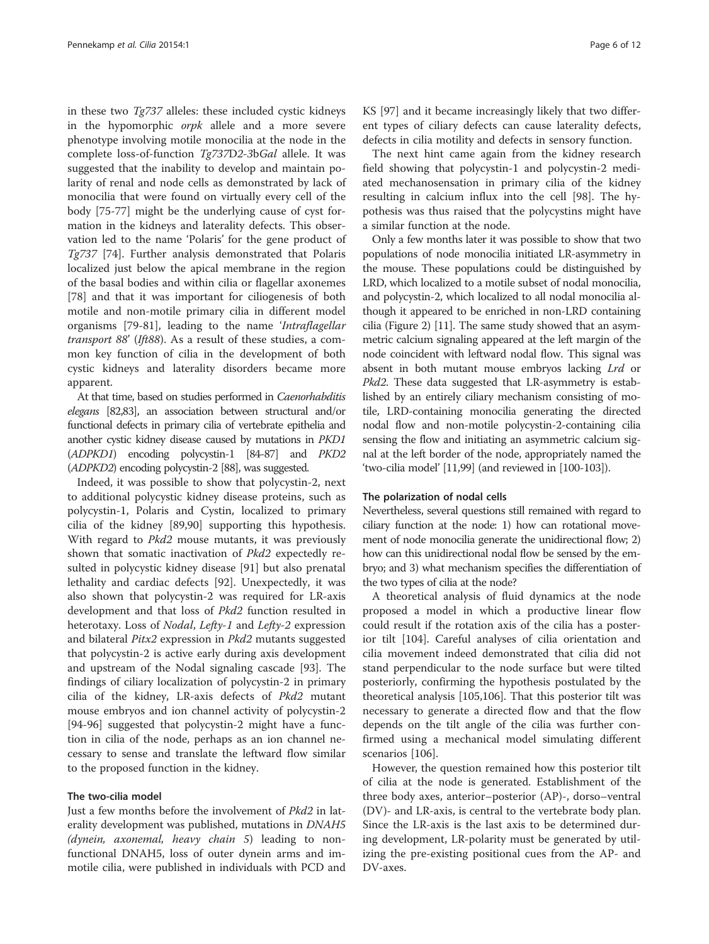in these two  $Tg737$  alleles: these included cystic kidneys in the hypomorphic orpk allele and a more severe phenotype involving motile monocilia at the node in the complete loss-of-function Tg737D2-3bGal allele. It was suggested that the inability to develop and maintain polarity of renal and node cells as demonstrated by lack of monocilia that were found on virtually every cell of the body [\[75](#page-10-0)-[77\]](#page-10-0) might be the underlying cause of cyst formation in the kidneys and laterality defects. This observation led to the name 'Polaris' for the gene product of Tg737 [\[74](#page-10-0)]. Further analysis demonstrated that Polaris localized just below the apical membrane in the region of the basal bodies and within cilia or flagellar axonemes [[78\]](#page-10-0) and that it was important for ciliogenesis of both motile and non-motile primary cilia in different model organisms [[79-81](#page-10-0)], leading to the name 'Intraflagellar transport 88' (Ift88). As a result of these studies, a common key function of cilia in the development of both cystic kidneys and laterality disorders became more apparent.

At that time, based on studies performed in Caenorhabditis elegans [\[82,83](#page-10-0)], an association between structural and/or functional defects in primary cilia of vertebrate epithelia and another cystic kidney disease caused by mutations in PKD1 (ADPKD1) encoding polycystin-1 [\[84-87](#page-10-0)] and PKD2 (ADPKD2) encoding polycystin-2 [\[88](#page-10-0)], was suggested.

Indeed, it was possible to show that polycystin-2, next to additional polycystic kidney disease proteins, such as polycystin-1, Polaris and Cystin, localized to primary cilia of the kidney [\[89,90](#page-10-0)] supporting this hypothesis. With regard to Pkd2 mouse mutants, it was previously shown that somatic inactivation of Pkd2 expectedly resulted in polycystic kidney disease [[91\]](#page-10-0) but also prenatal lethality and cardiac defects [\[92\]](#page-10-0). Unexpectedly, it was also shown that polycystin-2 was required for LR-axis development and that loss of Pkd2 function resulted in heterotaxy. Loss of *Nodal*, *Lefty-1* and *Lefty-2* expression and bilateral Pitx2 expression in Pkd2 mutants suggested that polycystin-2 is active early during axis development and upstream of the Nodal signaling cascade [\[93\]](#page-10-0). The findings of ciliary localization of polycystin-2 in primary cilia of the kidney, LR-axis defects of Pkd2 mutant mouse embryos and ion channel activity of polycystin-2 [[94-](#page-10-0)[96](#page-11-0)] suggested that polycystin-2 might have a function in cilia of the node, perhaps as an ion channel necessary to sense and translate the leftward flow similar to the proposed function in the kidney.

# The two-cilia model

Just a few months before the involvement of Pkd2 in laterality development was published, mutations in DNAH5 (dynein, axonemal, heavy chain 5) leading to nonfunctional DNAH5, loss of outer dynein arms and immotile cilia, were published in individuals with PCD and KS [[97](#page-11-0)] and it became increasingly likely that two different types of ciliary defects can cause laterality defects, defects in cilia motility and defects in sensory function.

The next hint came again from the kidney research field showing that polycystin-1 and polycystin-2 mediated mechanosensation in primary cilia of the kidney resulting in calcium influx into the cell [\[98\]](#page-11-0). The hypothesis was thus raised that the polycystins might have a similar function at the node.

Only a few months later it was possible to show that two populations of node monocilia initiated LR-asymmetry in the mouse. These populations could be distinguished by LRD, which localized to a motile subset of nodal monocilia, and polycystin-2, which localized to all nodal monocilia although it appeared to be enriched in non-LRD containing cilia (Figure [2\)](#page-6-0) [\[11](#page-9-0)]. The same study showed that an asymmetric calcium signaling appeared at the left margin of the node coincident with leftward nodal flow. This signal was absent in both mutant mouse embryos lacking Lrd or Pkd2. These data suggested that LR-asymmetry is established by an entirely ciliary mechanism consisting of motile, LRD-containing monocilia generating the directed nodal flow and non-motile polycystin-2-containing cilia sensing the flow and initiating an asymmetric calcium signal at the left border of the node, appropriately named the 'two-cilia model' [\[11,](#page-9-0)[99](#page-11-0)] (and reviewed in [\[100](#page-11-0)-[103\]](#page-11-0)).

#### The polarization of nodal cells

Nevertheless, several questions still remained with regard to ciliary function at the node: 1) how can rotational movement of node monocilia generate the unidirectional flow; 2) how can this unidirectional nodal flow be sensed by the embryo; and 3) what mechanism specifies the differentiation of the two types of cilia at the node?

A theoretical analysis of fluid dynamics at the node proposed a model in which a productive linear flow could result if the rotation axis of the cilia has a posterior tilt [[104\]](#page-11-0). Careful analyses of cilia orientation and cilia movement indeed demonstrated that cilia did not stand perpendicular to the node surface but were tilted posteriorly, confirming the hypothesis postulated by the theoretical analysis [[105,106](#page-11-0)]. That this posterior tilt was necessary to generate a directed flow and that the flow depends on the tilt angle of the cilia was further confirmed using a mechanical model simulating different scenarios [\[106](#page-11-0)].

However, the question remained how this posterior tilt of cilia at the node is generated. Establishment of the three body axes, anterior–posterior (AP)-, dorso–ventral (DV)- and LR-axis, is central to the vertebrate body plan. Since the LR-axis is the last axis to be determined during development, LR-polarity must be generated by utilizing the pre-existing positional cues from the AP- and DV-axes.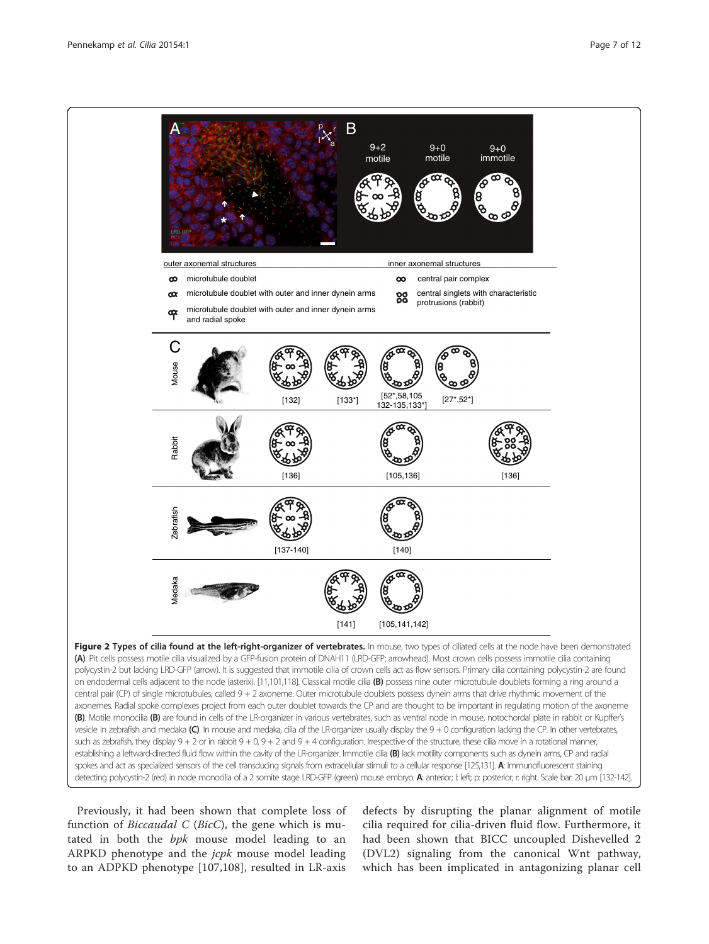<span id="page-6-0"></span>

Previously, it had been shown that complete loss of function of *Biccaudal*  $C$  (*BicC*), the gene which is mutated in both the *bpk* mouse model leading to an ARPKD phenotype and the jcpk mouse model leading to an ADPKD phenotype [[107,108\]](#page-11-0), resulted in LR-axis

defects by disrupting the planar alignment of motile cilia required for cilia-driven fluid flow. Furthermore, it had been shown that BICC uncoupled Dishevelled 2 (DVL2) signaling from the canonical Wnt pathway, which has been implicated in antagonizing planar cell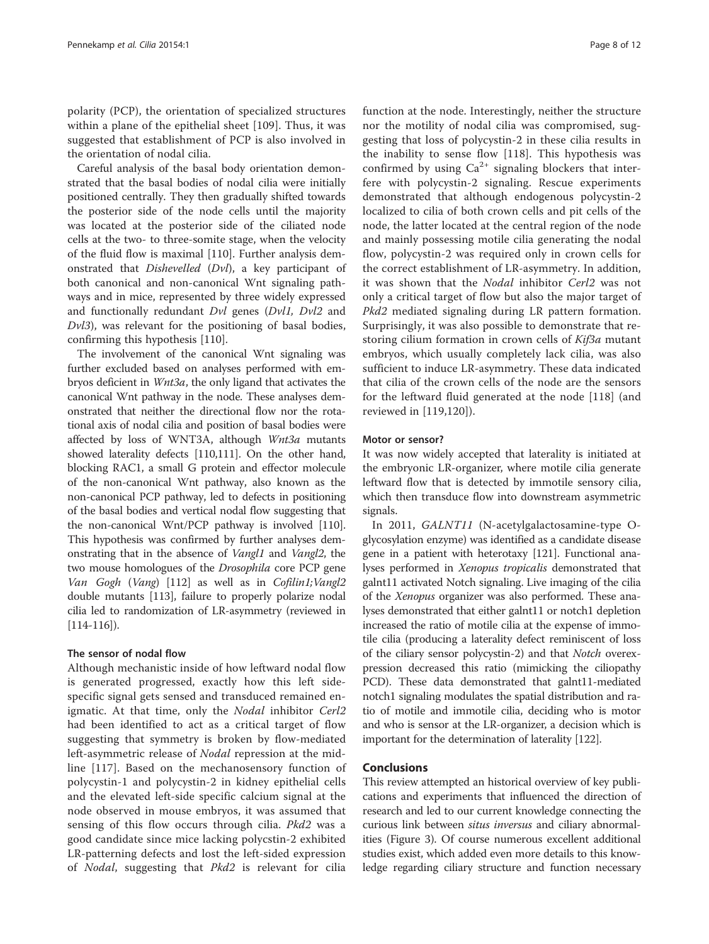polarity (PCP), the orientation of specialized structures within a plane of the epithelial sheet [[109\]](#page-11-0). Thus, it was suggested that establishment of PCP is also involved in the orientation of nodal cilia.

Careful analysis of the basal body orientation demonstrated that the basal bodies of nodal cilia were initially positioned centrally. They then gradually shifted towards the posterior side of the node cells until the majority was located at the posterior side of the ciliated node cells at the two- to three-somite stage, when the velocity of the fluid flow is maximal [[110](#page-11-0)]. Further analysis demonstrated that Dishevelled (Dvl), a key participant of both canonical and non-canonical Wnt signaling pathways and in mice, represented by three widely expressed and functionally redundant Dvl genes (Dvl1, Dvl2 and  $Dv/3$ , was relevant for the positioning of basal bodies, confirming this hypothesis [\[110](#page-11-0)].

The involvement of the canonical Wnt signaling was further excluded based on analyses performed with embryos deficient in Wnt3a, the only ligand that activates the canonical Wnt pathway in the node. These analyses demonstrated that neither the directional flow nor the rotational axis of nodal cilia and position of basal bodies were affected by loss of WNT3A, although Wnt3a mutants showed laterality defects [\[110,111](#page-11-0)]. On the other hand, blocking RAC1, a small G protein and effector molecule of the non-canonical Wnt pathway, also known as the non-canonical PCP pathway, led to defects in positioning of the basal bodies and vertical nodal flow suggesting that the non-canonical Wnt/PCP pathway is involved [[110](#page-11-0)]. This hypothesis was confirmed by further analyses demonstrating that in the absence of *Vangl1* and *Vangl2*, the two mouse homologues of the Drosophila core PCP gene Van Gogh (Vang) [[112](#page-11-0)] as well as in Cofilin1;Vangl2 double mutants [[113](#page-11-0)], failure to properly polarize nodal cilia led to randomization of LR-asymmetry (reviewed in  $[114-116]$  $[114-116]$  $[114-116]$  $[114-116]$  $[114-116]$ .

### The sensor of nodal flow

Although mechanistic inside of how leftward nodal flow is generated progressed, exactly how this left sidespecific signal gets sensed and transduced remained enigmatic. At that time, only the *Nodal* inhibitor Cerl2 had been identified to act as a critical target of flow suggesting that symmetry is broken by flow-mediated left-asymmetric release of *Nodal* repression at the midline [\[117](#page-11-0)]. Based on the mechanosensory function of polycystin-1 and polycystin-2 in kidney epithelial cells and the elevated left-side specific calcium signal at the node observed in mouse embryos, it was assumed that sensing of this flow occurs through cilia. Pkd2 was a good candidate since mice lacking polycstin-2 exhibited LR-patterning defects and lost the left-sided expression of Nodal, suggesting that Pkd2 is relevant for cilia function at the node. Interestingly, neither the structure nor the motility of nodal cilia was compromised, suggesting that loss of polycystin-2 in these cilia results in the inability to sense flow [\[118](#page-11-0)]. This hypothesis was confirmed by using  $Ca^{2+}$  signaling blockers that interfere with polycystin-2 signaling. Rescue experiments demonstrated that although endogenous polycystin-2 localized to cilia of both crown cells and pit cells of the node, the latter located at the central region of the node and mainly possessing motile cilia generating the nodal flow, polycystin-2 was required only in crown cells for the correct establishment of LR-asymmetry. In addition, it was shown that the Nodal inhibitor Cerl2 was not only a critical target of flow but also the major target of Pkd2 mediated signaling during LR pattern formation. Surprisingly, it was also possible to demonstrate that restoring cilium formation in crown cells of Kif3a mutant embryos, which usually completely lack cilia, was also sufficient to induce LR-asymmetry. These data indicated that cilia of the crown cells of the node are the sensors for the leftward fluid generated at the node [[118](#page-11-0)] (and reviewed in [\[119](#page-11-0),[120\]](#page-11-0)).

#### Motor or sensor?

It was now widely accepted that laterality is initiated at the embryonic LR-organizer, where motile cilia generate leftward flow that is detected by immotile sensory cilia, which then transduce flow into downstream asymmetric signals.

In 2011, GALNT11 (N-acetylgalactosamine-type Oglycosylation enzyme) was identified as a candidate disease gene in a patient with heterotaxy [[121](#page-11-0)]. Functional analyses performed in Xenopus tropicalis demonstrated that galnt11 activated Notch signaling. Live imaging of the cilia of the Xenopus organizer was also performed. These analyses demonstrated that either galnt11 or notch1 depletion increased the ratio of motile cilia at the expense of immotile cilia (producing a laterality defect reminiscent of loss of the ciliary sensor polycystin-2) and that Notch overexpression decreased this ratio (mimicking the ciliopathy PCD). These data demonstrated that galnt11-mediated notch1 signaling modulates the spatial distribution and ratio of motile and immotile cilia, deciding who is motor and who is sensor at the LR-organizer, a decision which is important for the determination of laterality [\[122](#page-11-0)].

# Conclusions

This review attempted an historical overview of key publications and experiments that influenced the direction of research and led to our current knowledge connecting the curious link between situs inversus and ciliary abnormalities (Figure [3\)](#page-8-0). Of course numerous excellent additional studies exist, which added even more details to this knowledge regarding ciliary structure and function necessary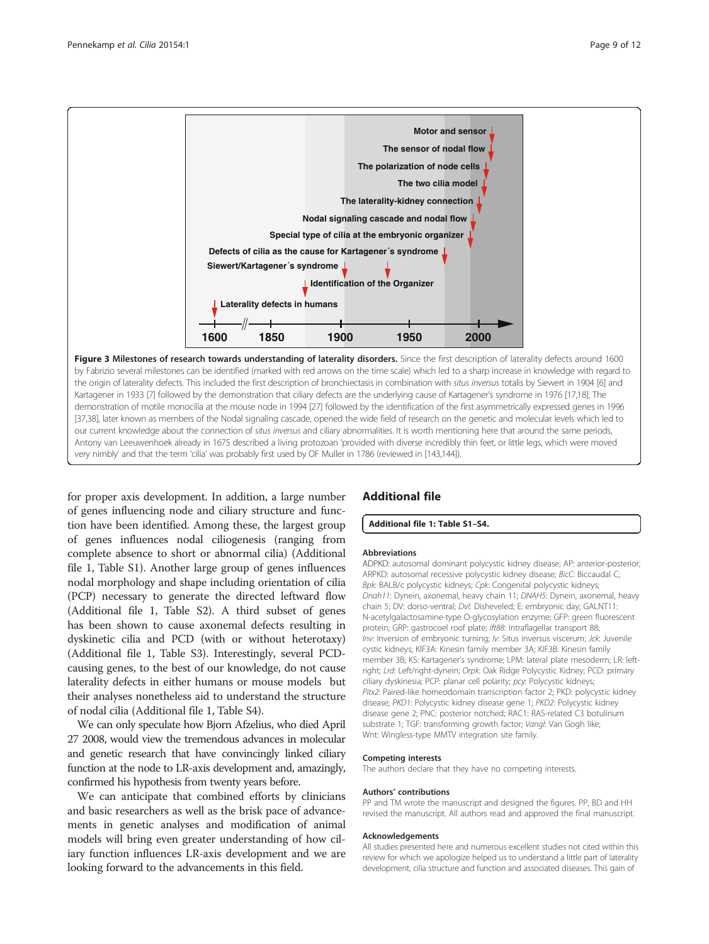<span id="page-8-0"></span>

the origin of laterality defects. This included the first description of bronchiectasis in combination with situs inversus totalis by Siewert in 1904 [\[6](#page-9-0)] and Kartagener in 1933 [\[7\]](#page-9-0) followed by the demonstration that ciliary defects are the underlying cause of Kartagener's syndrome in 1976 [[17,18\]](#page-9-0). The demonstration of motile monocilia at the mouse node in 1994 [[27](#page-9-0)] followed by the identification of the first asymmetrically expressed genes in 1996 [[37,38\]](#page-9-0), later known as members of the Nodal signaling cascade, opened the wide field of research on the genetic and molecular levels which led to our current knowledge about the connection of situs inversus and ciliary abnormalities. It is worth mentioning here that around the same periods, Antony van Leeuwenhoek already in 1675 described a living protozoan 'provided with diverse incredibly thin feet, or little legs, which were moved very nimbly' and that the term 'cilia' was probably first used by OF Muller in 1786 (reviewed in [[143,144](#page-11-0)]).

for proper axis development. In addition, a large number of genes influencing node and ciliary structure and function have been identified. Among these, the largest group of genes influences nodal ciliogenesis (ranging from complete absence to short or abnormal cilia) (Additional file 1, Table S1). Another large group of genes influences nodal morphology and shape including orientation of cilia (PCP) necessary to generate the directed leftward flow (Additional file 1, Table S2). A third subset of genes has been shown to cause axonemal defects resulting in dyskinetic cilia and PCD (with or without heterotaxy) (Additional file 1, Table S3). Interestingly, several PCDcausing genes, to the best of our knowledge, do not cause laterality defects in either humans or mouse models but their analyses nonetheless aid to understand the structure of nodal cilia (Additional file 1, Table S4).

We can only speculate how Bjorn Afzelius, who died April 27 2008, would view the tremendous advances in molecular and genetic research that have convincingly linked ciliary function at the node to LR-axis development and, amazingly, confirmed his hypothesis from twenty years before.

We can anticipate that combined efforts by clinicians and basic researchers as well as the brisk pace of advancements in genetic analyses and modification of animal models will bring even greater understanding of how ciliary function influences LR-axis development and we are looking forward to the advancements in this field.

# Additional file

#### [Additional file 1: Table S1](http://www.ciliajournal.com/content/supplementary/s13630-014-0010-9-s1.docx)–S4.

#### Abbreviations

ADPKD: autosomal dominant polycystic kidney disease; AP: anterior-posterior; ARPKD: autosomal recessive polycystic kidney disease; BicC: Biccaudal C; Bpk: BALB/c polycystic kidneys; Cpk: Congenital polycystic kidneys; Dnah11: Dynein, axonemal, heavy chain 11; DNAH5: Dynein, axonemal, heavy chain 5; DV: dorso-ventral; Dvl: Disheveled; E: embryonic day; GALNT11: N-acetylgalactosamine-type O-glycosylation enzyme; GFP: green fluorescent protein; GRP: gastrocoel roof plate; Ift88: Intraflagellar transport 88; Inv: Inversion of embryonic turning; Iv: Situs inversus viscerum; Jck: Juvenile cystic kidneys; KIF3A: Kinesin family member 3A; KIF3B: Kinesin family member 3B; KS: Kartagener's syndrome; LPM: lateral plate mesoderm; LR: leftright; Lrd: Left/right-dynein; Orpk: Oak Ridge Polycystic Kidney; PCD: primary ciliary dyskinesia; PCP: planar cell polarity; pcy: Polycystic kidneys; Pitx2: Paired-like homeodomain transcription factor 2; PKD: polycystic kidney disease; PKD1: Polycystic kidney disease gene 1; PKD2: Polycystic kidney disease gene 2; PNC: posterior notched; RAC1: RAS-related C3 botulinum substrate 1; TGF: transforming growth factor; Vangl: Van Gogh like; Wnt: Wingless-type MMTV integration site family.

#### Competing interests

The authors declare that they have no competing interests.

#### Authors' contributions

PP and TM wrote the manuscript and designed the figures. PP, BD and HH revised the manuscript. All authors read and approved the final manuscript.

#### Acknowledgements

All studies presented here and numerous excellent studies not cited within this review for which we apologize helped us to understand a little part of laterality development, cilia structure and function and associated diseases. This gain of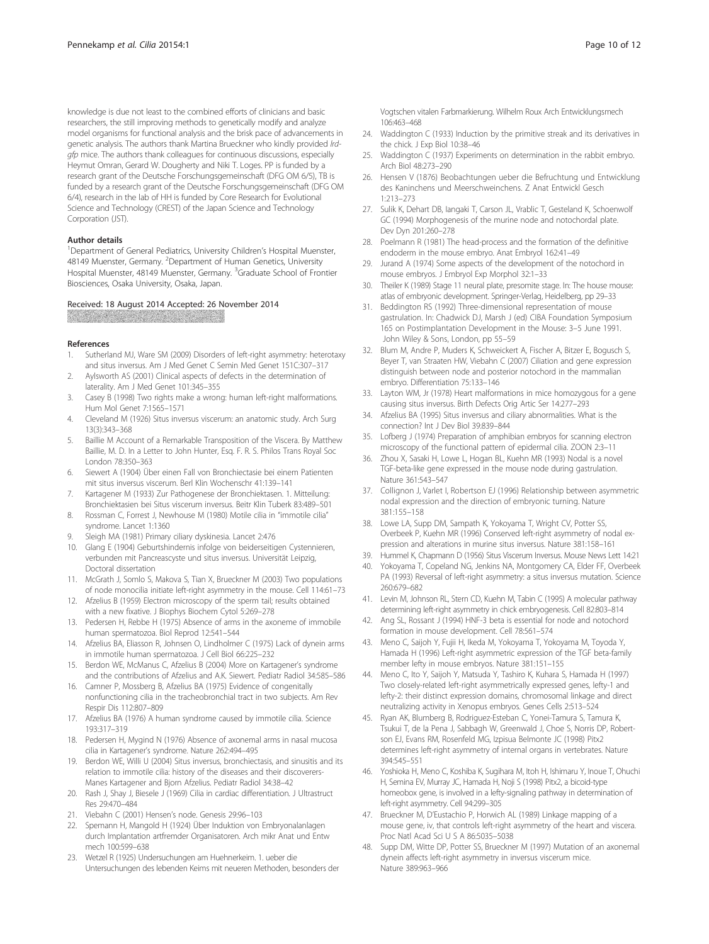<span id="page-9-0"></span>knowledge is due not least to the combined efforts of clinicians and basic researchers, the still improving methods to genetically modify and analyze model organisms for functional analysis and the brisk pace of advancements in genetic analysis. The authors thank Martina Brueckner who kindly provided lrdgfp mice. The authors thank colleagues for continuous discussions, especially Heymut Omran, Gerard W. Dougherty and Niki T. Loges. PP is funded by a research grant of the Deutsche Forschungsgemeinschaft (DFG OM 6/5), TB is funded by a research grant of the Deutsche Forschungsgemeinschaft (DFG OM 6/4), research in the lab of HH is funded by Core Research for Evolutional Science and Technology (CREST) of the Japan Science and Technology Corporation (JST).

#### Author details

<sup>1</sup>Department of General Pediatrics, University Children's Hospital Muenster, 48149 Muenster, Germany. <sup>2</sup>Department of Human Genetics, University Hospital Muenster, 48149 Muenster, Germany. <sup>3</sup>Graduate School of Frontier Biosciences, Osaka University, Osaka, Japan.

#### Received: 18 August 2014 Accepted: 26 November 2014

#### References

- 1. Sutherland MJ, Ware SM (2009) Disorders of left-right asymmetry: heterotaxy and situs inversus. Am J Med Genet C Semin Med Genet 151C:307–317
- 2. Aylsworth AS (2001) Clinical aspects of defects in the determination of laterality. Am J Med Genet 101:345–355
- 3. Casey B (1998) Two rights make a wrong: human left-right malformations. Hum Mol Genet 7:1565–1571
- 4. Cleveland M (1926) Situs inversus viscerum: an anatomic study. Arch Surg 13(3):343–368
- 5. Baillie M Account of a Remarkable Transposition of the Viscera. By Matthew Baillie, M. D. In a Letter to John Hunter, Esq. F. R. S. Philos Trans Royal Soc London 78:350–363
- 6. Siewert A (1904) Über einen Fall von Bronchiectasie bei einem Patienten mit situs inversus viscerum. Berl Klin Wochenschr 41:139–141
- 7. Kartagener M (1933) Zur Pathogenese der Bronchiektasen. 1. Mitteilung: Bronchiektasien bei Situs viscerum inversus. Beitr Klin Tuberk 83:489–501
- 8. Rossman C, Forrest J, Newhouse M (1980) Motile cilia in "immotile cilia" syndrome. Lancet 1:1360
- 9. Sleigh MA (1981) Primary ciliary dyskinesia. Lancet 2:476
- 10. Glang E (1904) Geburtshindernis infolge von beiderseitigen Cystennieren, verbunden mit Pancreascyste und situs inversus. Universität Leipzig, Doctoral dissertation
- 11. McGrath J, Somlo S, Makova S, Tian X, Brueckner M (2003) Two populations of node monocilia initiate left-right asymmetry in the mouse. Cell 114:61–73
- 12. Afzelius B (1959) Electron microscopy of the sperm tail; results obtained with a new fixative. J Biophys Biochem Cytol 5:269–278
- 13. Pedersen H, Rebbe H (1975) Absence of arms in the axoneme of immobile human spermatozoa. Biol Reprod 12:541–544
- 14. Afzelius BA, Eliasson R, Johnsen O, Lindholmer C (1975) Lack of dynein arms in immotile human spermatozoa. J Cell Biol 66:225–232
- 15. Berdon WE, McManus C, Afzelius B (2004) More on Kartagener's syndrome and the contributions of Afzelius and A.K. Siewert. Pediatr Radiol 34:585–586
- 16. Camner P, Mossberg B, Afzelius BA (1975) Evidence of congenitally nonfunctioning cilia in the tracheobronchial tract in two subjects. Am Rev Respir Dis 112:807–809
- 17. Afzelius BA (1976) A human syndrome caused by immotile cilia. Science 193:317–319
- 18. Pedersen H, Mygind N (1976) Absence of axonemal arms in nasal mucosa cilia in Kartagener's syndrome. Nature 262:494–495
- 19. Berdon WE, Willi U (2004) Situs inversus, bronchiectasis, and sinusitis and its relation to immotile cilia: history of the diseases and their discoverers-Manes Kartagener and Bjorn Afzelius. Pediatr Radiol 34:38–42
- 20. Rash J, Shay J, Biesele J (1969) Cilia in cardiac differentiation. J Ultrastruct Res 29:470–484
- 21. Viebahn C (2001) Hensen's node. Genesis 29:96–103
- 22. Spemann H, Mangold H (1924) Über Induktion von Embryonalanlagen durch Implantation artfremder Organisatoren. Arch mikr Anat und Entw mech 100:599–638
- 23. Wetzel R (1925) Undersuchungen am Huehnerkeim. 1. ueber die Untersuchungen des lebenden Keims mit neueren Methoden, besonders der

Vogtschen vitalen Farbmarkierung. Wilhelm Roux Arch Entwicklungsmech 106:463–468

- 24. Waddington C (1933) Induction by the primitive streak and its derivatives in the chick. J Exp Biol 10:38–46
- 25. Waddington C (1937) Experiments on determination in the rabbit embryo. Arch Biol 48:273–290
- 26. Hensen V (1876) Beobachtungen ueber die Befruchtung und Entwicklung des Kaninchens und Meerschweinchens. Z Anat Entwickl Gesch 1:213–273
- 27. Sulik K, Dehart DB, Iangaki T, Carson JL, Vrablic T, Gesteland K, Schoenwolf GC (1994) Morphogenesis of the murine node and notochordal plate. Dev Dyn 201:260–278
- 28. Poelmann R (1981) The head-process and the formation of the definitive endoderm in the mouse embryo. Anat Embryol 162:41–49
- 29. Jurand A (1974) Some aspects of the development of the notochord in mouse embryos. J Embryol Exp Morphol 32:1–33
- 30. Theiler K (1989) Stage 11 neural plate, presomite stage. In: The house mouse: atlas of embryonic development. Springer-Verlag, Heidelberg, pp 29–33
- 31. Beddington RS (1992) Three-dimensional representation of mouse gastrulation. In: Chadwick DJ, Marsh J (ed) CIBA Foundation Symposium 165 on Postimplantation Development in the Mouse: 3–5 June 1991. John Wiley & Sons, London, pp 55–59
- 32. Blum M, Andre P, Muders K, Schweickert A, Fischer A, Bitzer E, Bogusch S, Beyer T, van Straaten HW, Viebahn C (2007) Ciliation and gene expression distinguish between node and posterior notochord in the mammalian embryo. Differentiation 75:133–146
- 33. Layton WM, Jr (1978) Heart malformations in mice homozygous for a gene causing situs inversus. Birth Defects Orig Artic Ser 14:277–293
- 34. Afzelius BA (1995) Situs inversus and ciliary abnormalities. What is the connection? Int J Dev Biol 39:839–844
- 35. Lofberg J (1974) Preparation of amphibian embryos for scanning electron microscopy of the functional pattern of epidermal cilia. ZOON 2:3–11
- 36. Zhou X, Sasaki H, Lowe L, Hogan BL, Kuehn MR (1993) Nodal is a novel TGF-beta-like gene expressed in the mouse node during gastrulation. Nature 361:543–547
- 37. Collignon J, Varlet I, Robertson EJ (1996) Relationship between asymmetric nodal expression and the direction of embryonic turning. Nature 381:155–158
- 38. Lowe LA, Supp DM, Sampath K, Yokoyama T, Wright CV, Potter SS, Overbeek P, Kuehn MR (1996) Conserved left-right asymmetry of nodal expression and alterations in murine situs inversus. Nature 381:158–161
- 39. Hummel K, Chapmann D (1956) Situs Viscerum Inversus. Mouse News Lett 14:21
- 40. Yokoyama T, Copeland NG, Jenkins NA, Montgomery CA, Elder FF, Overbeek PA (1993) Reversal of left-right asymmetry: a situs inversus mutation. Science 260:679–682
- 41. Levin M, Johnson RL, Stern CD, Kuehn M, Tabin C (1995) A molecular pathway determining left-right asymmetry in chick embryogenesis. Cell 82:803–814
- 42. Ang SL, Rossant J (1994) HNF-3 beta is essential for node and notochord formation in mouse development. Cell 78:561–574
- 43. Meno C, Saijoh Y, Fujii H, Ikeda M, Yokoyama T, Yokoyama M, Toyoda Y, Hamada H (1996) Left-right asymmetric expression of the TGF beta-family member lefty in mouse embryos. Nature 381:151–155
- 44. Meno C, Ito Y, Saijoh Y, Matsuda Y, Tashiro K, Kuhara S, Hamada H (1997) Two closely-related left-right asymmetrically expressed genes, lefty-1 and lefty-2: their distinct expression domains, chromosomal linkage and direct neutralizing activity in Xenopus embryos. Genes Cells 2:513–524
- 45. Ryan AK, Blumberg B, Rodriguez-Esteban C, Yonei-Tamura S, Tamura K, Tsukui T, de la Pena J, Sabbagh W, Greenwald J, Choe S, Norris DP, Robertson EJ, Evans RM, Rosenfeld MG, Izpisua Belmonte JC (1998) Pitx2 determines left-right asymmetry of internal organs in vertebrates. Nature 394:545–551
- 46. Yoshioka H, Meno C, Koshiba K, Sugihara M, Itoh H, Ishimaru Y, Inoue T, Ohuchi H, Semina EV, Murray JC, Hamada H, Noji S (1998) Pitx2, a bicoid-type homeobox gene, is involved in a lefty-signaling pathway in determination of left-right asymmetry. Cell 94:299–305
- 47. Brueckner M, D'Eustachio P, Horwich AL (1989) Linkage mapping of a mouse gene, iv, that controls left-right asymmetry of the heart and viscera. Proc Natl Acad Sci U S A 86:5035–5038
- 48. Supp DM, Witte DP, Potter SS, Brueckner M (1997) Mutation of an axonemal dynein affects left-right asymmetry in inversus viscerum mice. Nature 389:963–966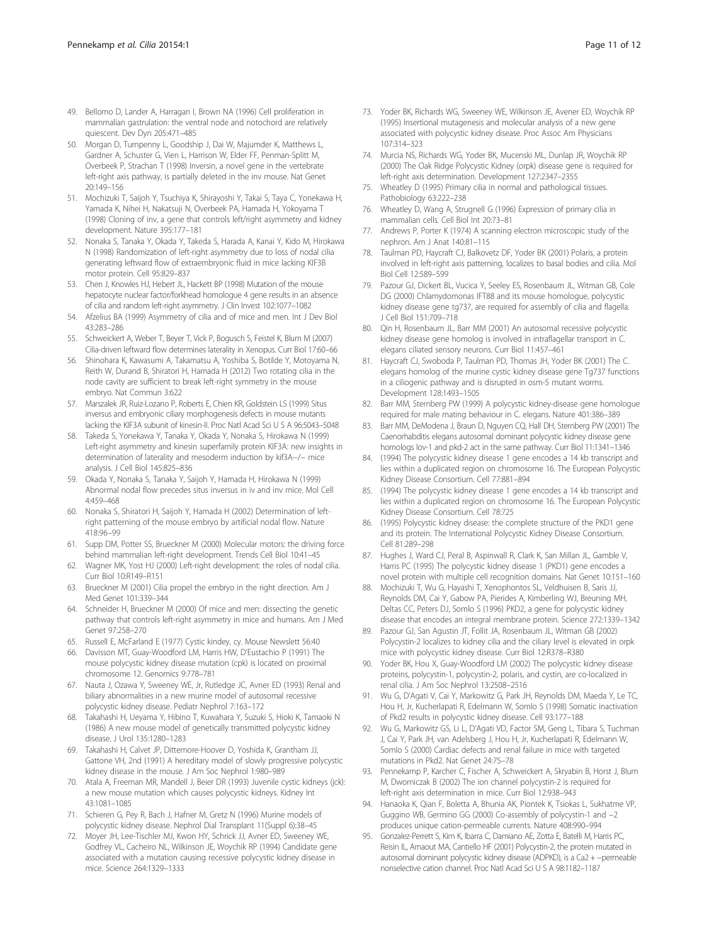- <span id="page-10-0"></span>49. Bellomo D, Lander A, Harragan I, Brown NA (1996) Cell proliferation in mammalian gastrulation: the ventral node and notochord are relatively quiescent. Dev Dyn 205:471–485
- 50. Morgan D, Turnpenny L, Goodship J, Dai W, Majumder K, Matthews L, Gardner A, Schuster G, Vien L, Harrison W, Elder FF, Penman-Splitt M, Overbeek P, Strachan T (1998) Inversin, a novel gene in the vertebrate left-right axis pathway, is partially deleted in the inv mouse. Nat Genet 20:149–156
- 51. Mochizuki T, Saijoh Y, Tsuchiya K, Shirayoshi Y, Takai S, Taya C, Yonekawa H, Yamada K, Nihei H, Nakatsuji N, Overbeek PA, Hamada H, Yokoyama T (1998) Cloning of inv, a gene that controls left/right asymmetry and kidney development. Nature 395:177–181
- 52. Nonaka S, Tanaka Y, Okada Y, Takeda S, Harada A, Kanai Y, Kido M, Hirokawa N (1998) Randomization of left-right asymmetry due to loss of nodal cilia generating leftward flow of extraembryonic fluid in mice lacking KIF3B motor protein. Cell 95:829–837
- 53. Chen J, Knowles HJ, Hebert JL, Hackett BP (1998) Mutation of the mouse hepatocyte nuclear factor/forkhead homologue 4 gene results in an absence of cilia and random left-right asymmetry. J Clin Invest 102:1077–1082
- 54. Afzelius BA (1999) Asymmetry of cilia and of mice and men. Int J Dev Biol 43:283–286
- 55. Schweickert A, Weber T, Beyer T, Vick P, Bogusch S, Feistel K, Blum M (2007) Cilia-driven leftward flow determines laterality in Xenopus. Curr Biol 17:60–66
- 56. Shinohara K, Kawasumi A, Takamatsu A, Yoshiba S, Botilde Y, Motoyama N, Reith W, Durand B, Shiratori H, Hamada H (2012) Two rotating cilia in the node cavity are sufficient to break left-right symmetry in the mouse embryo. Nat Commun 3:622
- 57. Marszalek JR, Ruiz-Lozano P, Roberts E, Chien KR, Goldstein LS (1999) Situs inversus and embryonic ciliary morphogenesis defects in mouse mutants lacking the KIF3A subunit of kinesin-II. Proc Natl Acad Sci U S A 96:5043–5048
- 58. Takeda S, Yonekawa Y, Tanaka Y, Okada Y, Nonaka S, Hirokawa N (1999) Left-right asymmetry and kinesin superfamily protein KIF3A: new insights in determination of laterality and mesoderm induction by kif3A-/− mice analysis. J Cell Biol 145:825–836
- 59. Okada Y, Nonaka S, Tanaka Y, Saijoh Y, Hamada H, Hirokawa N (1999) Abnormal nodal flow precedes situs inversus in iv and inv mice. Mol Cell 4:459–468
- 60. Nonaka S, Shiratori H, Saijoh Y, Hamada H (2002) Determination of leftright patterning of the mouse embryo by artificial nodal flow. Nature 418:96–99
- 61. Supp DM, Potter SS, Brueckner M (2000) Molecular motors: the driving force behind mammalian left-right development. Trends Cell Biol 10:41–45
- 62. Wagner MK, Yost HJ (2000) Left-right development: the roles of nodal cilia. Curr Biol 10:R149–R151
- 63. Brueckner M (2001) Cilia propel the embryo in the right direction. Am J Med Genet 101:339–344
- 64. Schneider H, Brueckner M (2000) Of mice and men: dissecting the genetic pathway that controls left-right asymmetry in mice and humans. Am J Med Genet 97:258–270
- 65. Russell E, McFarland E (1977) Cystic kindey, cy. Mouse Newslett 56:40
- 66. Davisson MT, Guay-Woodford LM, Harris HW, D'Eustachio P (1991) The mouse polycystic kidney disease mutation (cpk) is located on proximal chromosome 12. Genomics 9:778–781
- 67. Nauta J, Ozawa Y, Sweeney WE, Jr, Rutledge JC, Avner ED (1993) Renal and biliary abnormalities in a new murine model of autosomal recessive polycystic kidney disease. Pediatr Nephrol 7:163–172
- 68. Takahashi H, Ueyama Y, Hibino T, Kuwahara Y, Suzuki S, Hioki K, Tamaoki N (1986) A new mouse model of genetically transmitted polycystic kidney disease. J Urol 135:1280–1283
- 69. Takahashi H, Calvet JP, Dittemore-Hoover D, Yoshida K, Grantham JJ, Gattone VH, 2nd (1991) A hereditary model of slowly progressive polycystic kidney disease in the mouse. J Am Soc Nephrol 1:980–989
- 70. Atala A, Freeman MR, Mandell J, Beier DR (1993) Juvenile cystic kidneys (jck): a new mouse mutation which causes polycystic kidneys. Kidney Int 43:1081–1085
- 71. Schieren G, Pey R, Bach J, Hafner M, Gretz N (1996) Murine models of polycystic kidney disease. Nephrol Dial Transplant 11(Suppl 6):38–45
- 72. Moyer JH, Lee-Tischler MJ, Kwon HY, Schrick JJ, Avner ED, Sweeney WE, Godfrey VL, Cacheiro NL, Wilkinson JE, Woychik RP (1994) Candidate gene associated with a mutation causing recessive polycystic kidney disease in mice. Science 264:1329–1333
- 73. Yoder BK, Richards WG, Sweeney WE, Wilkinson JE, Avener ED, Woychik RP (1995) Insertional mutagenesis and molecular analysis of a new gene associated with polycystic kidney disease. Proc Assoc Am Physicians 107:314–323
- 74. Murcia NS, Richards WG, Yoder BK, Mucenski ML, Dunlap JR, Woychik RP (2000) The Oak Ridge Polycystic Kidney (orpk) disease gene is required for left-right axis determination. Development 127:2347–2355
- 75. Wheatley D (1995) Primary cilia in normal and pathological tissues. Pathobiology 63:222–238
- 76. Wheatley D, Wang A, Strugnell G (1996) Expression of primary cilia in mammalian cells. Cell Biol Int 20:73–81
- 77. Andrews P, Porter K (1974) A scanning electron microscopic study of the nephron. Am J Anat 140:81–115
- 78. Taulman PD, Haycraft CJ, Balkovetz DF, Yoder BK (2001) Polaris, a protein involved in left-right axis patterning, localizes to basal bodies and cilia. Mol Biol Cell 12:589–599
- 79. Pazour GJ, Dickert BL, Vucica Y, Seeley ES, Rosenbaum JL, Witman GB, Cole DG (2000) Chlamydomonas IFT88 and its mouse homologue, polycystic kidney disease gene tg737, are required for assembly of cilia and flagella. J Cell Biol 151:709–718
- 80. Qin H, Rosenbaum JL, Barr MM (2001) An autosomal recessive polycystic kidney disease gene homolog is involved in intraflagellar transport in C. elegans ciliated sensory neurons. Curr Biol 11:457–461
- 81. Haycraft CJ, Swoboda P, Taulman PD, Thomas JH, Yoder BK (2001) The C. elegans homolog of the murine cystic kidney disease gene Tg737 functions in a ciliogenic pathway and is disrupted in osm-5 mutant worms. Development 128:1493–1505
- 82. Barr MM, Sternberg PW (1999) A polycystic kidney-disease gene homologue required for male mating behaviour in C. elegans. Nature 401:386–389
- 83. Barr MM, DeModena J, Braun D, Nguyen CQ, Hall DH, Sternberg PW (2001) The Caenorhabditis elegans autosomal dominant polycystic kidney disease gene homologs lov-1 and pkd-2 act in the same pathway. Curr Biol 11:1341–1346
- 84. (1994) The polycystic kidney disease 1 gene encodes a 14 kb transcript and lies within a duplicated region on chromosome 16. The European Polycystic Kidney Disease Consortium. Cell 77:881–894
- 85. (1994) The polycystic kidney disease 1 gene encodes a 14 kb transcript and lies within a duplicated region on chromosome 16. The European Polycystic Kidney Disease Consortium. Cell 78:725
- 86. (1995) Polycystic kidney disease: the complete structure of the PKD1 gene and its protein. The International Polycystic Kidney Disease Consortium. Cell 81:289–298
- 87. Hughes J, Ward CJ, Peral B, Aspinwall R, Clark K, San Millan JL, Gamble V, Harris PC (1995) The polycystic kidney disease 1 (PKD1) gene encodes a novel protein with multiple cell recognition domains. Nat Genet 10:151–160
- 88. Mochizuki T, Wu G, Hayashi T, Xenophontos SL, Veldhuisen B, Saris JJ, Reynolds DM, Cai Y, Gabow PA, Pierides A, Kimberling WJ, Breuning MH, Deltas CC, Peters DJ, Somlo S (1996) PKD2, a gene for polycystic kidney disease that encodes an integral membrane protein. Science 272:1339–1342
- 89. Pazour GJ, San Agustin JT, Follit JA, Rosenbaum JL, Witman GB (2002) Polycystin-2 localizes to kidney cilia and the ciliary level is elevated in orpk mice with polycystic kidney disease. Curr Biol 12:R378–R380
- 90. Yoder BK, Hou X, Guay-Woodford LM (2002) The polycystic kidney disease proteins, polycystin-1, polycystin-2, polaris, and cystin, are co-localized in renal cilia. J Am Soc Nephrol 13:2508–2516
- 91. Wu G, D'Agati V, Cai Y, Markowitz G, Park JH, Reynolds DM, Maeda Y, Le TC, Hou H, Jr, Kucherlapati R, Edelmann W, Somlo S (1998) Somatic inactivation of Pkd2 results in polycystic kidney disease. Cell 93:177–188
- 92. Wu G, Markowitz GS, Li L, D'Agati VD, Factor SM, Geng L, Tibara S, Tuchman J, Cai Y, Park JH, van Adelsberg J, Hou H, Jr, Kucherlapati R, Edelmann W, Somlo S (2000) Cardiac defects and renal failure in mice with targeted mutations in Pkd2. Nat Genet 24:75–78
- 93. Pennekamp P, Karcher C, Fischer A, Schweickert A, Skryabin B, Horst J, Blum M, Dworniczak B (2002) The ion channel polycystin-2 is required for left-right axis determination in mice. Curr Biol 12:938–943
- 94. Hanaoka K, Qian F, Boletta A, Bhunia AK, Piontek K, Tsiokas L, Sukhatme VP, Guggino WB, Germino GG (2000) Co-assembly of polycystin-1 and −2 produces unique cation-permeable currents. Nature 408:990–994
- 95. Gonzalez-Perrett S, Kim K, Ibarra C, Damiano AE, Zotta E, Batelli M, Harris PC, Reisin IL, Arnaout MA, Cantiello HF (2001) Polycystin-2, the protein mutated in autosomal dominant polycystic kidney disease (ADPKD), is a Ca2 + −permeable nonselective cation channel. Proc Natl Acad Sci U S A 98:1182–1187